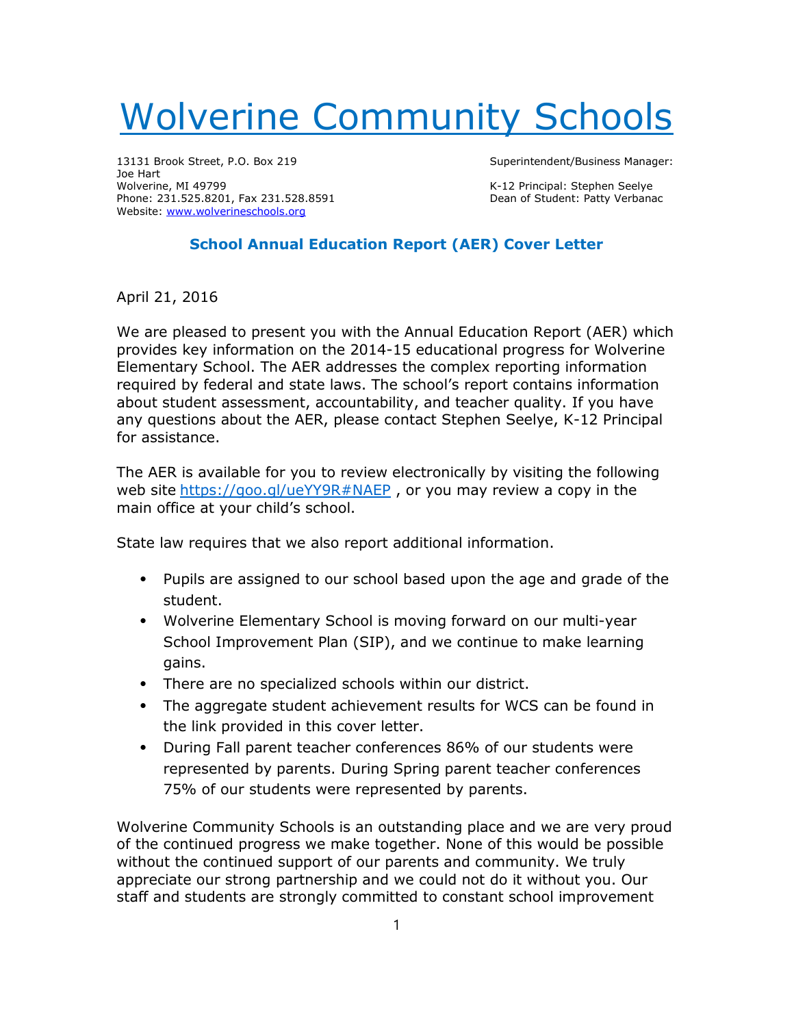## Wolverine Community Schools

13131 Brook Street, P.O. Box 219 Superintendent/Business Manager: Joe Hart<br>Wolverine, MI 49799 Phone: 231.525.8201, Fax 231.528.8591 Website: www.wolverineschools.org

K-12 Principal: Stephen Seelye<br>Dean of Student: Patty Verbanac

## School Annual Education Report (AER) Cover Letter

April 21, 2016

We are pleased to present you with the Annual Education Report (AER) which provides key information on the 2014-15 educational progress for Wolverine Elementary School. The AER addresses the complex reporting information required by federal and state laws. The school's report contains information about student assessment, accountability, and teacher quality. If you have any questions about the AER, please contact Stephen Seelye, K-12 Principal for assistance.

The AER is available for you to review electronically by visiting the following web site https://goo.gl/ueYY9R#NAEP, or you may review a copy in the main office at your child's school.

State law requires that we also report additional information.

- ⦁ Pupils are assigned to our school based upon the age and grade of the student.
- ⦁ Wolverine Elementary School is moving forward on our multi-year School Improvement Plan (SIP), and we continue to make learning gains.
- ⦁ There are no specialized schools within our district.
- ⦁ The aggregate student achievement results for WCS can be found in the link provided in this cover letter.
- ⦁ During Fall parent teacher conferences 86% of our students were represented by parents. During Spring parent teacher conferences 75% of our students were represented by parents.

Wolverine Community Schools is an outstanding place and we are very proud of the continued progress we make together. None of this would be possible without the continued support of our parents and community. We truly appreciate our strong partnership and we could not do it without you. Our staff and students are strongly committed to constant school improvement